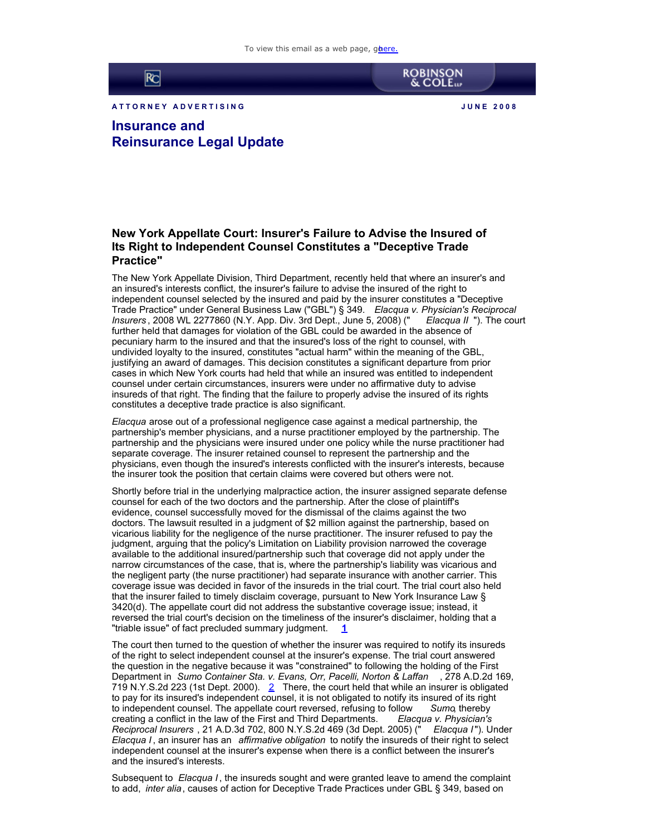

A T T ORNEY ADVERTISING **A REALLY ASSESSED A REALLY ASSESSED.** A UNE 2008

**ROBINSON**<br>& COLE

**Insurance and Reinsurance Legal Update**

## **New York Appellate Court: Insurer's Failure to Advise the Insured of Its Right to Independent Counsel Constitutes a "Deceptive Trade Practice"**

The New York Appellate Division, Third Department, recently held that where an insurer's and an insured's interests conflict, the insurer's failure to advise the insured of the right to independent counsel selected by the insured and paid by the insurer constitutes a "Deceptive Trade Practice" under General Business Law ("GBL") § 349. *Elacqua v. Physician's Reciprocal Insurers* , 2008 WL 2277860 (N.Y. App. Div. 3rd Dept., June 5, 2008) (" *Elacqua II* "). The court further held that damages for violation of the GBL could be awarded in the absence of pecuniary harm to the insured and that the insured's loss of the right to counsel, with undivided loyalty to the insured, constitutes "actual harm" within the meaning of the GBL, justifying an award of damages. This decision constitutes a significant departure from prior cases in which New York courts had held that while an insured was entitled to independent counsel under certain circumstances, insurers were under no affirmative duty to advise insureds of that right. The finding that the failure to properly advise the insured of its rights constitutes a deceptive trade practice is also significant.

*Elacqua* arose out of a professional negligence case against a medical partnership, the partnership's member physicians, and a nurse practitioner employed by the partnership. The partnership and the physicians were insured under one policy while the nurse practitioner had separate coverage. The insurer retained counsel to represent the partnership and the physicians, even though the insured's interests conflicted with the insurer's interests, because the insurer took the position that certain claims were covered but others were not.

Shortly before trial in the underlying malpractice action, the insurer assigned separate defense counsel for each of the two doctors and the partnership. After the close of plaintiff's evidence, counsel successfully moved for the dismissal of the claims against the two doctors. The lawsuit resulted in a judgment of \$2 million against the partnership, based on vicarious liability for the negligence of the nurse practitioner. The insurer refused to pay the judgment, arguing that the policy's Limitation on Liability provision narrowed the coverage available to the additional insured/partnership such that coverage did not apply under the narrow circumstances of the case, that is, where the partnership's liability was vicarious and the negligent party (the nurse practitioner) had separate insurance with another carrier. This coverage issue was decided in favor of the insureds in the trial court. The trial court also held that the insurer failed to timely disclaim coverage, pursuant to New York Insurance Law § 3420(d). The appellate court did not address the substantive coverage issue; instead, it reversed the trial court's decision on the timeliness of the insurer's disclaimer, holding that a "triable issue" of fact precluded summary judgment. **[1](http://cl.exct.net:80/#1)**

The court then turned to the question of whether the insurer was required to notify its insureds of the right to select independent counsel at the insurer's expense. The trial court answered the question in the negative because it was "constrained" to following the holding of the First Department in *Sumo Container Sta. v. Evans, Orr, Pacelli, Norton & Laffan* , 278 A.D.2d 169, 719 N.Y.S.[2](http://cl.exct.net:80/#2)d 223 (1st Dept. 2000).  $2 \quad$  There, the court held that while an insurer is obligated to pay for its insured's independent counsel, it is not obligated to notify its insured of its right to independent counsel. The appellate court reversed, refusing to follow Sumo, thereby to independent counsel. The appellate court reversed, refusing to follow *Sumo*, thereby creating a conflict in the law of the First and Third Departments. *Reciprocal Insurers* , 21 A.D.3d 702, 800 N.Y.S.2d 469 (3d Dept. 2005) (" *Elacqua I*"). Under *Elacqua I* , an insurer has an *affirmative obligation* to notify the insureds of their right to select independent counsel at the insurer's expense when there is a conflict between the insurer's and the insured's interests.

Subsequent to *Elacqua I* , the insureds sought and were granted leave to amend the complaint to add, *inter alia*, causes of action for Deceptive Trade Practices under GBL § 349, based on